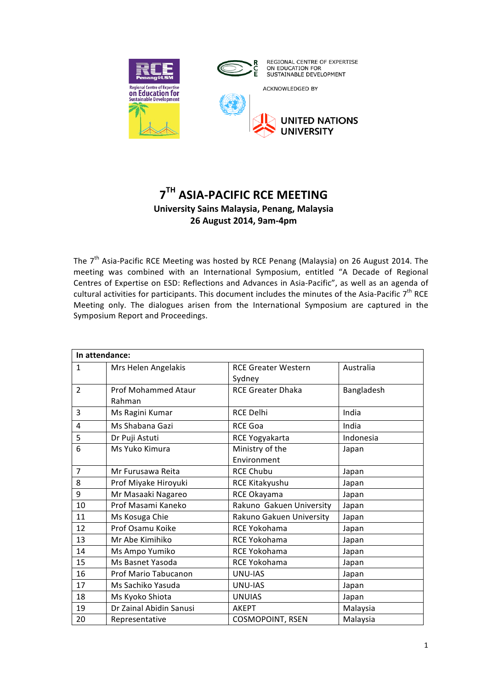



ACKNOWLEDGED BY



# **7TH ASIA-PACIFIC RCE MEETING University Sains Malaysia, Penang, Malaysia 26 August 2014, 9am-4pm**

The  $7<sup>th</sup>$  Asia-Pacific RCE Meeting was hosted by RCE Penang (Malaysia) on 26 August 2014. The meeting was combined with an International Symposium, entitled "A Decade of Regional Centres of Expertise on ESD: Reflections and Advances in Asia-Pacific", as well as an agenda of cultural activities for participants. This document includes the minutes of the Asia-Pacific 7<sup>th</sup> RCE Meeting only. The dialogues arisen from the International Symposium are captured in the Symposium Report and Proceedings.

| In attendance: |                         |                            |            |  |
|----------------|-------------------------|----------------------------|------------|--|
| $\mathbf{1}$   | Mrs Helen Angelakis     | <b>RCE Greater Western</b> | Australia  |  |
|                |                         | Sydney                     |            |  |
| $\overline{2}$ | Prof Mohammed Ataur     | <b>RCE Greater Dhaka</b>   | Bangladesh |  |
|                | Rahman                  |                            |            |  |
| 3              | Ms Ragini Kumar         | RCE Delhi                  | India      |  |
| 4              | Ms Shabana Gazi         | <b>RCE Goa</b>             | India      |  |
| 5              | Dr Puji Astuti          | RCE Yogyakarta             | Indonesia  |  |
| 6              | Ms Yuko Kimura          | Ministry of the            | Japan      |  |
|                |                         | Environment                |            |  |
| $\overline{7}$ | Mr Furusawa Reita       | <b>RCE Chubu</b>           | Japan      |  |
| 8              | Prof Miyake Hiroyuki    | RCE Kitakyushu             | Japan      |  |
| 9              | Mr Masaaki Nagareo      | RCE Okayama                | Japan      |  |
| 10             | Prof Masami Kaneko      | Rakuno Gakuen University   | Japan      |  |
| 11             | Ms Kosuga Chie          | Rakuno Gakuen University   | Japan      |  |
| 12             | Prof Osamu Koike        | <b>RCE Yokohama</b>        | Japan      |  |
| 13             | Mr Abe Kimihiko         | RCE Yokohama               | Japan      |  |
| 14             | Ms Ampo Yumiko          | RCE Yokohama               | Japan      |  |
| 15             | Ms Basnet Yasoda        | RCE Yokohama               | Japan      |  |
| 16             | Prof Mario Tabucanon    | <b>UNU-IAS</b>             | Japan      |  |
| 17             | Ms Sachiko Yasuda       | <b>UNU-IAS</b>             | Japan      |  |
| 18             | Ms Kyoko Shiota         | <b>UNUIAS</b>              | Japan      |  |
| 19             | Dr Zainal Abidin Sanusi | <b>AKEPT</b>               | Malaysia   |  |
| 20             | Representative          | <b>COSMOPOINT, RSEN</b>    | Malaysia   |  |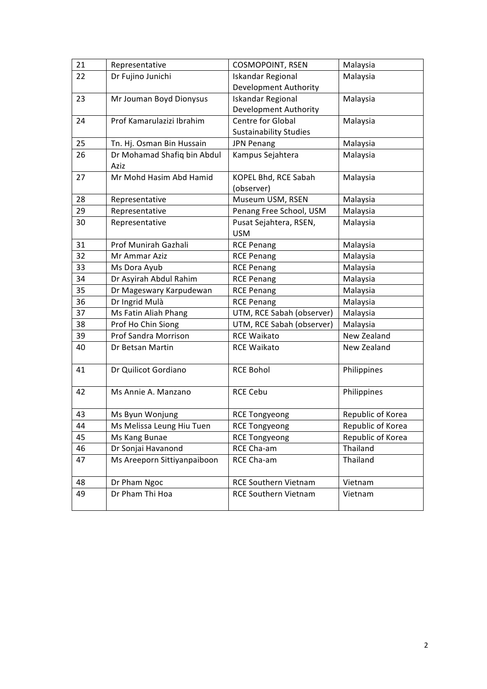| 21 | Representative              | COSMOPOINT, RSEN              | Malaysia          |
|----|-----------------------------|-------------------------------|-------------------|
| 22 | Dr Fujino Junichi           | <b>Iskandar Regional</b>      | Malaysia          |
|    |                             | Development Authority         |                   |
| 23 | Mr Jouman Boyd Dionysus     | <b>Iskandar Regional</b>      | Malaysia          |
|    |                             | Development Authority         |                   |
| 24 | Prof Kamarulazizi Ibrahim   | Centre for Global             | Malaysia          |
|    |                             | <b>Sustainability Studies</b> |                   |
| 25 | Tn. Hj. Osman Bin Hussain   | <b>JPN Penang</b>             | Malaysia          |
| 26 | Dr Mohamad Shafiq bin Abdul | Kampus Sejahtera              | Malaysia          |
|    | Aziz                        |                               |                   |
| 27 | Mr Mohd Hasim Abd Hamid     | KOPEL Bhd, RCE Sabah          | Malaysia          |
|    |                             | (observer)                    |                   |
| 28 | Representative              | Museum USM, RSEN              | Malaysia          |
| 29 | Representative              | Penang Free School, USM       | Malaysia          |
| 30 | Representative              | Pusat Sejahtera, RSEN,        | Malaysia          |
|    |                             | <b>USM</b>                    |                   |
| 31 | Prof Munirah Gazhali        | <b>RCE Penang</b>             | Malaysia          |
| 32 | Mr Ammar Aziz               | <b>RCE Penang</b>             | Malaysia          |
| 33 | Ms Dora Ayub                | <b>RCE Penang</b>             | Malaysia          |
| 34 | Dr Asyirah Abdul Rahim      | <b>RCE Penang</b>             | Malaysia          |
| 35 | Dr Mageswary Karpudewan     | <b>RCE Penang</b>             | Malaysia          |
| 36 | Dr Ingrid Mulà              | <b>RCE Penang</b>             | Malaysia          |
| 37 | Ms Fatin Aliah Phang        | UTM, RCE Sabah (observer)     | Malaysia          |
| 38 | Prof Ho Chin Siong          | UTM, RCE Sabah (observer)     | Malaysia          |
| 39 | Prof Sandra Morrison        | <b>RCE Waikato</b>            | New Zealand       |
| 40 | Dr Betsan Martin            | <b>RCE Waikato</b>            | New Zealand       |
| 41 | Dr Quilicot Gordiano        | <b>RCE Bohol</b>              | Philippines       |
| 42 | Ms Annie A. Manzano         | <b>RCE Cebu</b>               | Philippines       |
|    |                             |                               |                   |
| 43 | Ms Byun Wonjung             | <b>RCE Tongyeong</b>          | Republic of Korea |
| 44 | Ms Melissa Leung Hiu Tuen   | <b>RCE Tongyeong</b>          | Republic of Korea |
| 45 | Ms Kang Bunae               | <b>RCE Tongyeong</b>          | Republic of Korea |
| 46 | Dr Sonjai Havanond          | RCE Cha-am                    | Thailand          |
| 47 | Ms Areeporn Sittiyanpaiboon | RCE Cha-am                    | Thailand          |
| 48 | Dr Pham Ngoc                | RCE Southern Vietnam          | Vietnam           |
| 49 | Dr Pham Thi Hoa             | <b>RCE Southern Vietnam</b>   | Vietnam           |
|    |                             |                               |                   |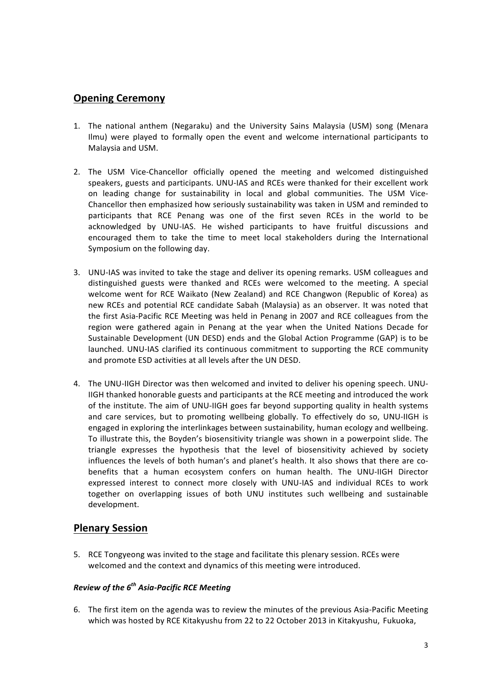# **Opening Ceremony**

- 1. The national anthem (Negaraku) and the University Sains Malaysia (USM) song (Menara Ilmu) were played to formally open the event and welcome international participants to Malaysia and USM.
- 2. The USM Vice-Chancellor officially opened the meeting and welcomed distinguished speakers, guests and participants. UNU-IAS and RCEs were thanked for their excellent work on leading change for sustainability in local and global communities. The USM Vice-Chancellor then emphasized how seriously sustainability was taken in USM and reminded to participants that RCE Penang was one of the first seven RCEs in the world to be acknowledged by UNU-IAS. He wished participants to have fruitful discussions and encouraged them to take the time to meet local stakeholders during the International Symposium on the following day.
- 3. UNU-IAS was invited to take the stage and deliver its opening remarks. USM colleagues and distinguished guests were thanked and RCEs were welcomed to the meeting. A special welcome went for RCE Waikato (New Zealand) and RCE Changwon (Republic of Korea) as new RCEs and potential RCE candidate Sabah (Malaysia) as an observer. It was noted that the first Asia-Pacific RCE Meeting was held in Penang in 2007 and RCE colleagues from the region were gathered again in Penang at the year when the United Nations Decade for Sustainable Development (UN DESD) ends and the Global Action Programme (GAP) is to be launched. UNU-IAS clarified its continuous commitment to supporting the RCE community and promote ESD activities at all levels after the UN DESD.
- 4. The UNU-IIGH Director was then welcomed and invited to deliver his opening speech. UNU-IIGH thanked honorable guests and participants at the RCE meeting and introduced the work of the institute. The aim of UNU-IIGH goes far beyond supporting quality in health systems and care services, but to promoting wellbeing globally. To effectively do so, UNU-IIGH is engaged in exploring the interlinkages between sustainability, human ecology and wellbeing. To illustrate this, the Boyden's biosensitivity triangle was shown in a powerpoint slide. The triangle expresses the hypothesis that the level of biosensitivity achieved by society influences the levels of both human's and planet's health. It also shows that there are cobenefits that a human ecosystem confers on human health. The UNU-IIGH Director expressed interest to connect more closely with UNU-IAS and individual RCEs to work together on overlapping issues of both UNU institutes such wellbeing and sustainable development.

### **Plenary Session**

5. RCE Tongyeong was invited to the stage and facilitate this plenary session. RCEs were welcomed and the context and dynamics of this meeting were introduced.

### *Review of the 6th Asia-Pacific RCE Meeting*

6. The first item on the agenda was to review the minutes of the previous Asia-Pacific Meeting which was hosted by RCE Kitakyushu from 22 to 22 October 2013 in Kitakyushu, Fukuoka,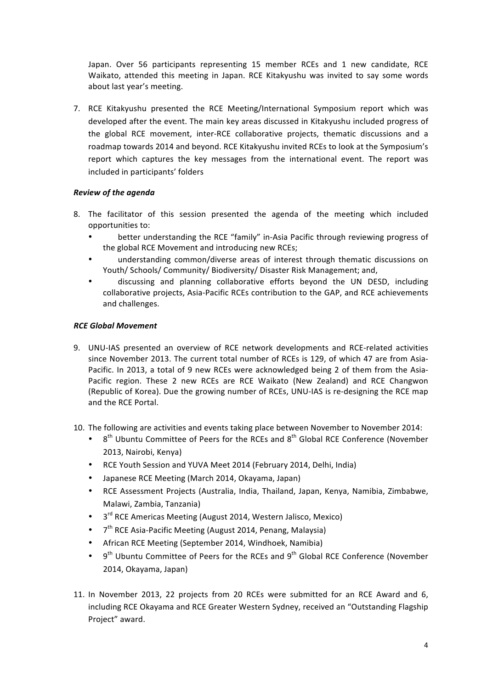Japan. Over 56 participants representing 15 member RCEs and 1 new candidate, RCE Waikato, attended this meeting in Japan. RCE Kitakyushu was invited to say some words about last year's meeting.

7. RCE Kitakyushu presented the RCE Meeting/International Symposium report which was developed after the event. The main key areas discussed in Kitakyushu included progress of the global RCE movement, inter-RCE collaborative projects, thematic discussions and a roadmap towards 2014 and beyond. RCE Kitakyushu invited RCEs to look at the Symposium's report which captures the key messages from the international event. The report was included in participants' folders

#### *Review of the agenda*

- 8. The facilitator of this session presented the agenda of the meeting which included opportunities to:
	- better understanding the RCE "family" in-Asia Pacific through reviewing progress of the global RCE Movement and introducing new RCEs;
	- understanding common/diverse areas of interest through thematic discussions on Youth/ Schools/ Community/ Biodiversity/ Disaster Risk Management; and,
	- discussing and planning collaborative efforts beyond the UN DESD, including collaborative projects, Asia-Pacific RCEs contribution to the GAP, and RCE achievements and challenges.

#### *RCE Global Movement*

- 9. UNU-IAS presented an overview of RCE network developments and RCE-related activities since November 2013. The current total number of RCEs is 129, of which 47 are from Asia-Pacific. In 2013, a total of 9 new RCEs were acknowledged being 2 of them from the Asia-Pacific region. These 2 new RCEs are RCE Waikato (New Zealand) and RCE Changwon (Republic of Korea). Due the growing number of RCEs, UNU-IAS is re-designing the RCE map and the RCE Portal.
- 10. The following are activities and events taking place between November to November 2014:
	- $8<sup>th</sup>$  Ubuntu Committee of Peers for the RCEs and  $8<sup>th</sup>$  Global RCE Conference (November 2013, Nairobi, Kenya)
	- RCE Youth Session and YUVA Meet 2014 (February 2014, Delhi, India)
	- Japanese RCE Meeting (March 2014, Okayama, Japan)
	- RCE Assessment Projects (Australia, India, Thailand, Japan, Kenya, Namibia, Zimbabwe, Malawi, Zambia, Tanzania)
	- 3<sup>rd</sup> RCE Americas Meeting (August 2014, Western Jalisco, Mexico)
	- $7<sup>th</sup>$  RCE Asia-Pacific Meeting (August 2014, Penang, Malaysia)
	- African RCE Meeting (September 2014, Windhoek, Namibia)
	- $9<sup>th</sup>$  Ubuntu Committee of Peers for the RCEs and  $9<sup>th</sup>$  Global RCE Conference (November 2014, Okayama, Japan)
- 11. In November 2013, 22 projects from 20 RCEs were submitted for an RCE Award and 6, including RCE Okayama and RCE Greater Western Sydney, received an "Outstanding Flagship Project" award.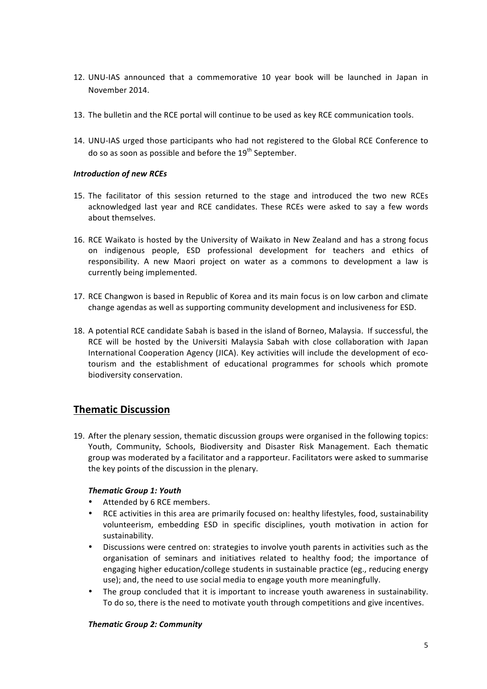- 12. UNU-IAS announced that a commemorative 10 year book will be launched in Japan in November 2014.
- 13. The bulletin and the RCE portal will continue to be used as key RCE communication tools.
- 14. UNU-IAS urged those participants who had not registered to the Global RCE Conference to do so as soon as possible and before the 19<sup>th</sup> September.

#### **Introduction of new RCEs**

- 15. The facilitator of this session returned to the stage and introduced the two new RCEs acknowledged last year and RCE candidates. These RCEs were asked to say a few words about themselves.
- 16. RCE Waikato is hosted by the University of Waikato in New Zealand and has a strong focus on indigenous people, ESD professional development for teachers and ethics of responsibility. A new Maori project on water as a commons to development a law is currently being implemented.
- 17. RCE Changwon is based in Republic of Korea and its main focus is on low carbon and climate change agendas as well as supporting community development and inclusiveness for ESD.
- 18. A potential RCE candidate Sabah is based in the island of Borneo, Malaysia. If successful, the RCE will be hosted by the Universiti Malaysia Sabah with close collaboration with Japan International Cooperation Agency (JICA). Key activities will include the development of ecotourism and the establishment of educational programmes for schools which promote biodiversity conservation.

# **Thematic Discussion**

19. After the plenary session, thematic discussion groups were organised in the following topics: Youth, Community, Schools, Biodiversity and Disaster Risk Management. Each thematic group was moderated by a facilitator and a rapporteur. Facilitators were asked to summarise the key points of the discussion in the plenary.

#### *Thematic Group 1: Youth*

- Attended by 6 RCE members.
- RCE activities in this area are primarily focused on: healthy lifestyles, food, sustainability volunteerism, embedding ESD in specific disciplines, youth motivation in action for sustainability.
- Discussions were centred on: strategies to involve youth parents in activities such as the organisation of seminars and initiatives related to healthy food; the importance of engaging higher education/college students in sustainable practice (eg., reducing energy use); and, the need to use social media to engage youth more meaningfully.
- The group concluded that it is important to increase youth awareness in sustainability. To do so, there is the need to motivate youth through competitions and give incentives.

#### *Thematic Group 2: Community*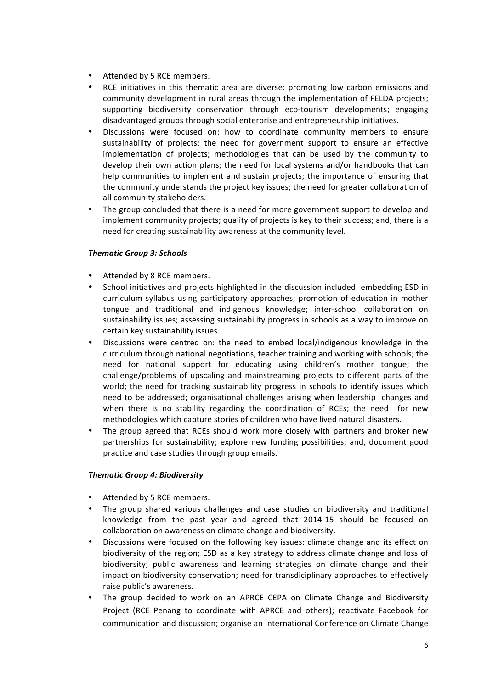- Attended by 5 RCE members.
- RCE initiatives in this thematic area are diverse: promoting low carbon emissions and community development in rural areas through the implementation of FELDA projects; supporting biodiversity conservation through eco-tourism developments; engaging disadvantaged groups through social enterprise and entrepreneurship initiatives.
- Discussions were focused on: how to coordinate community members to ensure sustainability of projects; the need for government support to ensure an effective implementation of projects; methodologies that can be used by the community to develop their own action plans; the need for local systems and/or handbooks that can help communities to implement and sustain projects; the importance of ensuring that the community understands the project key issues; the need for greater collaboration of all community stakeholders.
- The group concluded that there is a need for more government support to develop and implement community projects; quality of projects is key to their success; and, there is a need for creating sustainability awareness at the community level.

#### *Thematic Group 3: Schools*

- Attended by 8 RCE members.
- School initiatives and projects highlighted in the discussion included: embedding ESD in curriculum syllabus using participatory approaches; promotion of education in mother tongue and traditional and indigenous knowledge; inter-school collaboration on sustainability issues; assessing sustainability progress in schools as a way to improve on certain key sustainability issues.
- Discussions were centred on: the need to embed local/indigenous knowledge in the curriculum through national negotiations, teacher training and working with schools; the need for national support for educating using children's mother tongue; the challenge/problems of upscaling and mainstreaming projects to different parts of the world; the need for tracking sustainability progress in schools to identify issues which need to be addressed; organisational challenges arising when leadership changes and when there is no stability regarding the coordination of RCEs; the need for new methodologies which capture stories of children who have lived natural disasters.
- The group agreed that RCEs should work more closely with partners and broker new partnerships for sustainability; explore new funding possibilities; and, document good practice and case studies through group emails.

#### *Thematic Group 4: Biodiversity*

- Attended by 5 RCE members.
- The group shared various challenges and case studies on biodiversity and traditional knowledge from the past year and agreed that 2014-15 should be focused on collaboration on awareness on climate change and biodiversity.
- Discussions were focused on the following key issues: climate change and its effect on biodiversity of the region; ESD as a key strategy to address climate change and loss of biodiversity; public awareness and learning strategies on climate change and their impact on biodiversity conservation; need for transdiciplinary approaches to effectively raise public's awareness.
- The group decided to work on an APRCE CEPA on Climate Change and Biodiversity Project (RCE Penang to coordinate with APRCE and others); reactivate Facebook for communication and discussion; organise an International Conference on Climate Change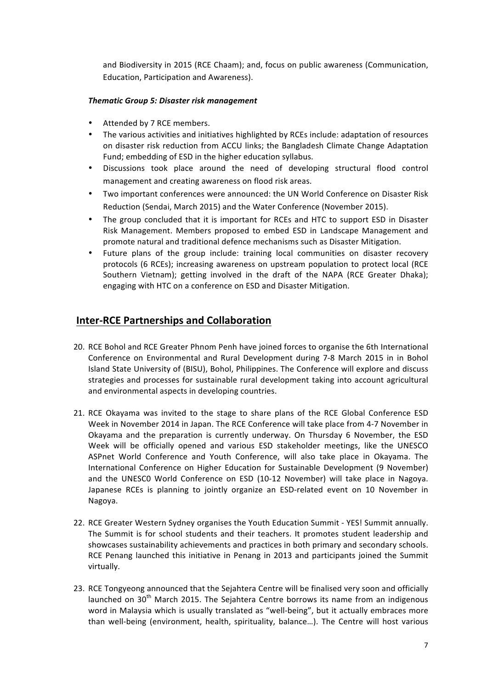and Biodiversity in 2015 (RCE Chaam); and, focus on public awareness (Communication, Education, Participation and Awareness).

#### *Thematic Group 5: Disaster risk management*

- Attended by 7 RCE members.
- The various activities and initiatives highlighted by RCEs include: adaptation of resources on disaster risk reduction from ACCU links; the Bangladesh Climate Change Adaptation Fund; embedding of ESD in the higher education syllabus.
- Discussions took place around the need of developing structural flood control management and creating awareness on flood risk areas.
- Two important conferences were announced: the UN World Conference on Disaster Risk Reduction (Sendai, March 2015) and the Water Conference (November 2015).
- The group concluded that it is important for RCEs and HTC to support ESD in Disaster Risk Management. Members proposed to embed ESD in Landscape Management and promote natural and traditional defence mechanisms such as Disaster Mitigation.
- Future plans of the group include: training local communities on disaster recovery protocols (6 RCEs); increasing awareness on upstream population to protect local (RCE Southern Vietnam); getting involved in the draft of the NAPA (RCE Greater Dhaka); engaging with HTC on a conference on ESD and Disaster Mitigation.

### **Inter-RCE Partnerships and Collaboration**

- 20. RCE Bohol and RCE Greater Phnom Penh have joined forces to organise the 6th International Conference on Environmental and Rural Development during 7-8 March 2015 in in Bohol Island State University of (BISU), Bohol, Philippines. The Conference will explore and discuss strategies and processes for sustainable rural development taking into account agricultural and environmental aspects in developing countries.
- 21. RCE Okayama was invited to the stage to share plans of the RCE Global Conference ESD Week in November 2014 in Japan. The RCE Conference will take place from 4-7 November in Okayama and the preparation is currently underway. On Thursday 6 November, the ESD Week will be officially opened and various ESD stakeholder meetings, like the UNESCO ASPnet World Conference and Youth Conference, will also take place in Okayama. The International Conference on Higher Education for Sustainable Development (9 November) and the UNESCO World Conference on ESD (10-12 November) will take place in Nagoya. Japanese RCEs is planning to jointly organize an ESD-related event on 10 November in Nagoya.
- 22. RCE Greater Western Sydney organises the Youth Education Summit YES! Summit annually. The Summit is for school students and their teachers. It promotes student leadership and showcases sustainability achievements and practices in both primary and secondary schools. RCE Penang launched this initiative in Penang in 2013 and participants joined the Summit virtually.
- 23. RCE Tongyeong announced that the Sejahtera Centre will be finalised very soon and officially launched on  $30<sup>th</sup>$  March 2015. The Sejahtera Centre borrows its name from an indigenous word in Malaysia which is usually translated as "well-being", but it actually embraces more than well-being (environment, health, spirituality, balance...). The Centre will host various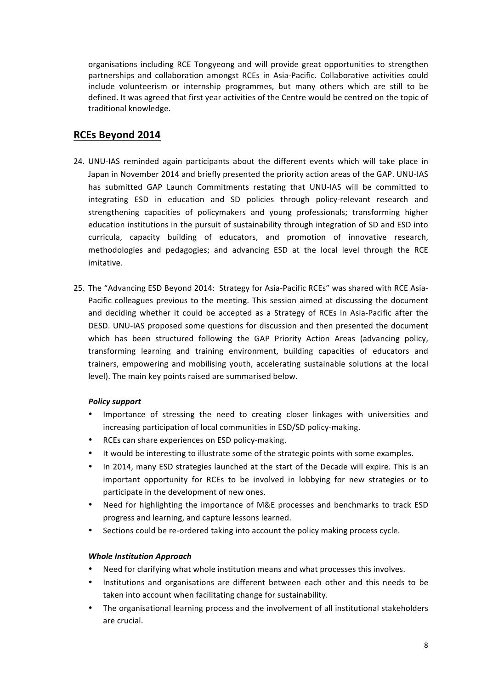organisations including RCE Tongyeong and will provide great opportunities to strengthen partnerships and collaboration amongst RCEs in Asia-Pacific. Collaborative activities could include volunteerism or internship programmes, but many others which are still to be defined. It was agreed that first year activities of the Centre would be centred on the topic of traditional knowledge.

### **RCEs Beyond 2014**

- 24. UNU-IAS reminded again participants about the different events which will take place in Japan in November 2014 and briefly presented the priority action areas of the GAP. UNU-IAS has submitted GAP Launch Commitments restating that UNU-IAS will be committed to integrating ESD in education and SD policies through policy-relevant research and strengthening capacities of policymakers and young professionals; transforming higher education institutions in the pursuit of sustainability through integration of SD and ESD into curricula, capacity building of educators, and promotion of innovative research, methodologies and pedagogies; and advancing ESD at the local level through the RCE imitative.
- 25. The "Advancing ESD Beyond 2014: Strategy for Asia-Pacific RCEs" was shared with RCE Asia-Pacific colleagues previous to the meeting. This session aimed at discussing the document and deciding whether it could be accepted as a Strategy of RCEs in Asia-Pacific after the DESD. UNU-IAS proposed some questions for discussion and then presented the document which has been structured following the GAP Priority Action Areas (advancing policy, transforming learning and training environment, building capacities of educators and trainers, empowering and mobilising youth, accelerating sustainable solutions at the local level). The main key points raised are summarised below.

#### *Policy support*

- Importance of stressing the need to creating closer linkages with universities and increasing participation of local communities in ESD/SD policy-making.
- RCEs can share experiences on ESD policy-making.
- It would be interesting to illustrate some of the strategic points with some examples.
- In 2014, many ESD strategies launched at the start of the Decade will expire. This is an important opportunity for RCEs to be involved in lobbying for new strategies or to participate in the development of new ones.
- Need for highlighting the importance of M&E processes and benchmarks to track ESD progress and learning, and capture lessons learned.
- Sections could be re-ordered taking into account the policy making process cycle.

#### **Whole Institution Approach**

- Need for clarifying what whole institution means and what processes this involves.
- Institutions and organisations are different between each other and this needs to be taken into account when facilitating change for sustainability.
- The organisational learning process and the involvement of all institutional stakeholders are crucial.